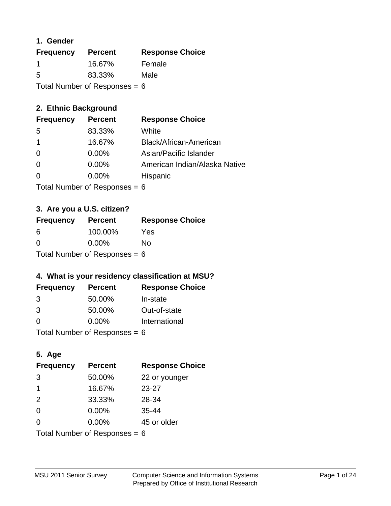### **1. Gender**

| <b>Frequency</b>                | <b>Percent</b> | <b>Response Choice</b> |
|---------------------------------|----------------|------------------------|
| -1                              | 16.67%         | Female                 |
| 5                               | 83.33%         | Male                   |
| Total Number of Responses = $6$ |                |                        |

# **2. Ethnic Background**

| <b>Frequency</b> | <b>Percent</b> | <b>Response Choice</b>        |
|------------------|----------------|-------------------------------|
| -5               | 83.33%         | White                         |
|                  | 16.67%         | Black/African-American        |
| $\Omega$         | $0.00\%$       | Asian/Pacific Islander        |
| $\Omega$         | 0.00%          | American Indian/Alaska Native |
|                  | $0.00\%$       | Hispanic                      |
|                  |                |                               |

Total Number of Responses = 6

# **3. Are you a U.S. citizen?**

| <b>Frequency</b>                | <b>Percent</b> | <b>Response Choice</b> |
|---------------------------------|----------------|------------------------|
| -6                              | 100.00%        | Yes                    |
| $\Omega$                        | $0.00\%$       | No                     |
| Total Number of Responses = $6$ |                |                        |

# **4. What is your residency classification at MSU?**

| <b>Frequency</b> | <b>Percent</b> | <b>Response Choice</b> |
|------------------|----------------|------------------------|
| 3                | 50.00%         | In-state               |
| 3                | 50.00%         | Out-of-state           |
| $\Omega$         | $0.00\%$       | International          |
|                  |                |                        |

Total Number of Responses = 6

# **5. Age**

| <b>Frequency</b>                | <b>Percent</b> | <b>Response Choice</b> |
|---------------------------------|----------------|------------------------|
| 3                               | 50.00%         | 22 or younger          |
| 1                               | 16.67%         | $23 - 27$              |
| 2                               | 33.33%         | 28-34                  |
| $\Omega$                        | 0.00%          | $35 - 44$              |
| $\Omega$                        | 0.00%          | 45 or older            |
| Total Number of Responses = $6$ |                |                        |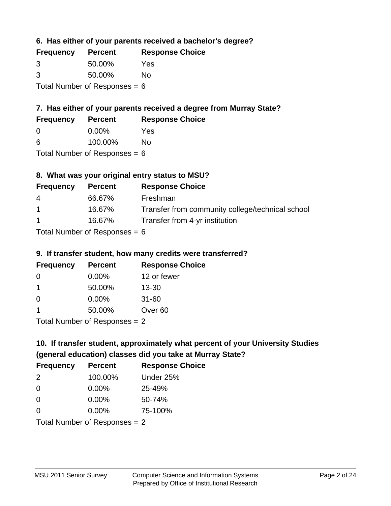**6. Has either of your parents received a bachelor's degree?**

| <b>Frequency</b>                | <b>Percent</b> | <b>Response Choice</b> |
|---------------------------------|----------------|------------------------|
| 3                               | 50.00%         | Yes                    |
| 3                               | 50.00%         | No                     |
| Total Number of Responses = $6$ |                |                        |

# **7. Has either of your parents received a degree from Murray State?**

| <b>Frequency</b> | <b>Percent</b> | <b>Response Choice</b> |
|------------------|----------------|------------------------|
| -0               | $0.00\%$       | Yes                    |

| 6 | 100.00% | <b>No</b> |
|---|---------|-----------|

Total Number of Responses = 6

# **8. What was your original entry status to MSU?**

| <b>Frequency</b> | <b>Percent</b>                                                       | <b>Response Choice</b>                           |
|------------------|----------------------------------------------------------------------|--------------------------------------------------|
| 4                | 66.67%                                                               | Freshman                                         |
| $\overline{1}$   | 16.67%                                                               | Transfer from community college/technical school |
| $\overline{1}$   | 16.67%                                                               | Transfer from 4-yr institution                   |
|                  | $T_{\rm eff}$ . The set of $R_{\rm eff}$ is the set of $R_{\rm eff}$ |                                                  |

Total Number of Responses = 6

### **9. If transfer student, how many credits were transferred?**

| <b>Frequency</b>          | <b>Percent</b> | <b>Response Choice</b> |
|---------------------------|----------------|------------------------|
| -0                        | $0.00\%$       | 12 or fewer            |
| 1                         | 50.00%         | $13 - 30$              |
| 0                         | $0.00\%$       | $31 - 60$              |
|                           | 50.00%         | Over <sub>60</sub>     |
| Total Number of DoEROR 0. |                |                        |

Total Number of Responses = 2

# **10. If transfer student, approximately what percent of your University Studies (general education) classes did you take at Murray State?**

| <b>Frequency</b> | <b>Percent</b>                  | <b>Response Choice</b> |
|------------------|---------------------------------|------------------------|
| 2                | 100.00%                         | Under 25%              |
| -0               | $0.00\%$                        | 25-49%                 |
| 0                | $0.00\%$                        | 50-74%                 |
| $\Omega$         | 0.00%                           | 75-100%                |
|                  | Total Number of Responses $= 2$ |                        |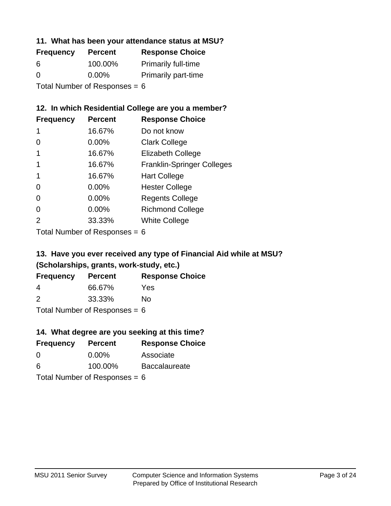### **11. What has been your attendance status at MSU?**

| <b>Frequency</b>                | <b>Percent</b> | <b>Response Choice</b>     |
|---------------------------------|----------------|----------------------------|
| 6                               | 100.00%        | <b>Primarily full-time</b> |
| $\Omega$                        | $0.00\%$       | <b>Primarily part-time</b> |
| Total Number of Responses = $6$ |                |                            |

# **12. In which Residential College are you a member?**

| <b>Frequency</b> | <b>Percent</b> | <b>Response Choice</b>            |
|------------------|----------------|-----------------------------------|
| 1                | 16.67%         | Do not know                       |
| 0                | 0.00%          | <b>Clark College</b>              |
| 1                | 16.67%         | <b>Elizabeth College</b>          |
|                  | 16.67%         | <b>Franklin-Springer Colleges</b> |
|                  | 16.67%         | <b>Hart College</b>               |
| 0                | 0.00%          | <b>Hester College</b>             |
| 0                | 0.00%          | <b>Regents College</b>            |
| $\Omega$         | 0.00%          | <b>Richmond College</b>           |
| 2                | 33.33%         | <b>White College</b>              |
|                  |                |                                   |

Total Number of Responses = 6

# **13. Have you ever received any type of Financial Aid while at MSU? (Scholarships, grants, work-study, etc.)**

| <b>Frequency</b> | <b>Percent</b>                                    | <b>Response Choice</b> |
|------------------|---------------------------------------------------|------------------------|
| 4                | 66.67%                                            | Yes                    |
| 2                | 33.33%                                            | No                     |
|                  | $\tau$ and $\mu$ and $\tau$ and $\tau$ and $\tau$ |                        |

Total Number of Responses = 6

# **14. What degree are you seeking at this time?**

| <b>Frequency</b>                | <b>Percent</b> | <b>Response Choice</b> |  |
|---------------------------------|----------------|------------------------|--|
| 0                               | $0.00\%$       | Associate              |  |
| 6                               | 100.00%        | <b>Baccalaureate</b>   |  |
| Total Number of Responses = $6$ |                |                        |  |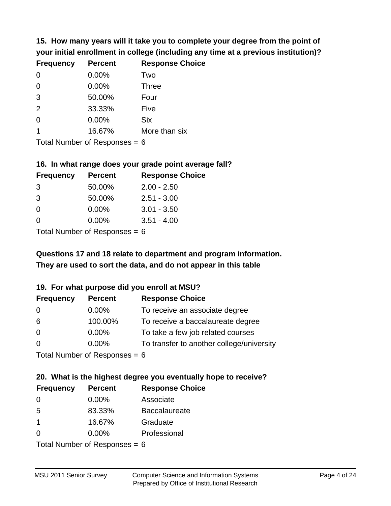**15. How many years will it take you to complete your degree from the point of your initial enrollment in college (including any time at a previous institution)?**

| <b>Frequency</b> | <b>Percent</b> | <b>Response Choice</b> |
|------------------|----------------|------------------------|
| $\Omega$         | 0.00%          | Two                    |
| $\Omega$         | 0.00%          | <b>Three</b>           |
| 3                | 50.00%         | Four                   |
| 2                | 33.33%         | Five                   |
| $\Omega$         | 0.00%          | <b>Six</b>             |
|                  | 16.67%         | More than six          |
|                  |                |                        |

Total Number of Responses  $= 6$ 

#### **16. In what range does your grade point average fall?**

| <b>Frequency</b> | <b>Percent</b> | <b>Response Choice</b> |
|------------------|----------------|------------------------|
| -3               | 50.00%         | $2.00 - 2.50$          |
| -3               | 50.00%         | $2.51 - 3.00$          |
| $\Omega$         | 0.00%          | $3.01 - 3.50$          |
| 0                | 0.00%          | $3.51 - 4.00$          |
|                  |                |                        |

Total Number of Responses  $= 6$ 

# **They are used to sort the data, and do not appear in this table Questions 17 and 18 relate to department and program information.**

### **19. For what purpose did you enroll at MSU?**

| <b>Frequency</b>            | <b>Percent</b> | <b>Response Choice</b>                    |
|-----------------------------|----------------|-------------------------------------------|
| 0                           | $0.00\%$       | To receive an associate degree            |
| 6                           | 100.00%        | To receive a baccalaureate degree         |
| $\overline{0}$              | $0.00\%$       | To take a few job related courses         |
| $\Omega$                    | 0.00%          | To transfer to another college/university |
| Total Number of Deepensee C |                |                                           |

I otal Number of Responses  $= 6$ 

# **20. What is the highest degree you eventually hope to receive?**

| <b>Frequency</b> | <b>Percent</b> | <b>Response Choice</b> |
|------------------|----------------|------------------------|
| 0                | $0.00\%$       | Associate              |
| 5                | 83.33%         | <b>Baccalaureate</b>   |
| $\mathbf 1$      | 16.67%         | Graduate               |
| 0                | 0.00%          | Professional           |
|                  |                |                        |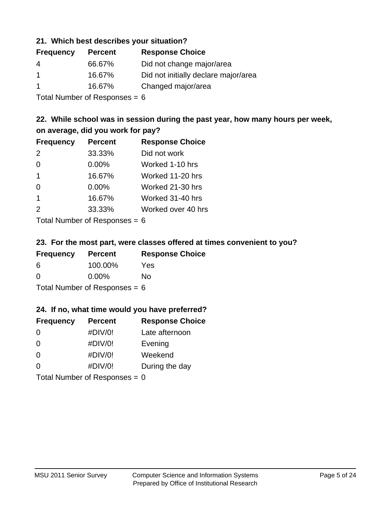### **21. Which best describes your situation?**

| <b>Percent</b> | <b>Response Choice</b>               |
|----------------|--------------------------------------|
| 66.67%         | Did not change major/area            |
| 16.67%         | Did not initially declare major/area |
| 16.67%         | Changed major/area                   |
|                |                                      |

Total Number of Responses = 6

# **22. While school was in session during the past year, how many hours per week, on average, did you work for pay?**

| <b>Frequency</b> | <b>Percent</b> | <b>Response Choice</b> |
|------------------|----------------|------------------------|
| 2                | 33.33%         | Did not work           |
| $\Omega$         | 0.00%          | Worked 1-10 hrs        |
| $\mathbf 1$      | 16.67%         | Worked 11-20 hrs       |
| $\Omega$         | 0.00%          | Worked 21-30 hrs       |
| $\mathbf 1$      | 16.67%         | Worked 31-40 hrs       |
| 2                | 33.33%         | Worked over 40 hrs     |
|                  |                |                        |

Total Number of Responses = 6

### **23. For the most part, were classes offered at times convenient to you?**

| <b>Frequency</b>                | <b>Percent</b> | <b>Response Choice</b> |
|---------------------------------|----------------|------------------------|
| 6                               | 100.00%        | Yes                    |
| $\Omega$                        | $0.00\%$       | Nο                     |
| Total Number of Responses = $6$ |                |                        |

### **24. If no, what time would you have preferred?**

| <b>Frequency</b>                | <b>Percent</b> | <b>Response Choice</b> |
|---------------------------------|----------------|------------------------|
| $\Omega$                        | #DIV/0!        | Late afternoon         |
| $\Omega$                        | #DIV/0!        | Evening                |
| $\Omega$                        | #DIV/0!        | Weekend                |
| $\Omega$                        | #DIV/0!        | During the day         |
| Total Number of Responses = $0$ |                |                        |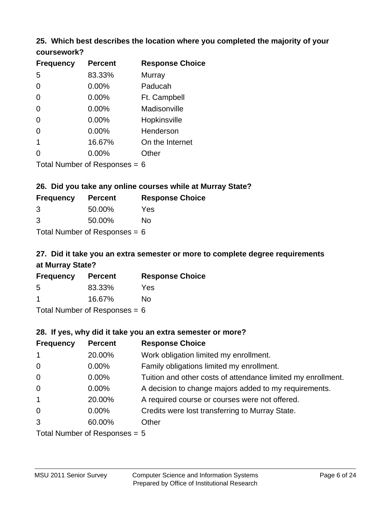### **25. Which best describes the location where you completed the majority of your coursework?**

| <b>Frequency</b>          | <b>Percent</b> | <b>Response Choice</b> |
|---------------------------|----------------|------------------------|
| 5                         | 83.33%         | Murray                 |
| 0                         | $0.00\%$       | Paducah                |
| $\overline{0}$            | 0.00%          | Ft. Campbell           |
| $\overline{0}$            | 0.00%          | Madisonville           |
| $\overline{0}$            | 0.00%          | Hopkinsville           |
| $\overline{0}$            | 0.00%          | Henderson              |
| 1                         | 16.67%         | On the Internet        |
| 0                         | 0.00%          | Other                  |
| Total Number of Despanses |                |                        |

Total Number of Responses = 6

### **26. Did you take any online courses while at Murray State?**

| <b>Frequency</b>                | <b>Percent</b> | <b>Response Choice</b> |
|---------------------------------|----------------|------------------------|
| -3                              | 50.00%         | Yes                    |
| 3                               | 50.00%         | Nο                     |
| Total Number of Responses = $6$ |                |                        |

# **27. Did it take you an extra semester or more to complete degree requirements at Murray State?**

| <b>Frequency</b>     | <b>Percent</b> | <b>Response Choice</b> |
|----------------------|----------------|------------------------|
| 5                    | 83.33%         | Yes                    |
| $\blacktriangleleft$ | 16.67%         | No                     |
|                      |                |                        |

Total Number of Responses = 6

### **28. If yes, why did it take you an extra semester or more?**

| <b>Frequency</b>                | <b>Percent</b> | <b>Response Choice</b>                                       |
|---------------------------------|----------------|--------------------------------------------------------------|
| $\mathbf{1}$                    | 20.00%         | Work obligation limited my enrollment.                       |
| $\mathbf 0$                     | $0.00\%$       | Family obligations limited my enrollment.                    |
| $\mathbf 0$                     | $0.00\%$       | Tuition and other costs of attendance limited my enrollment. |
| $\mathbf 0$                     | $0.00\%$       | A decision to change majors added to my requirements.        |
| $\mathbf{1}$                    | 20.00%         | A required course or courses were not offered.               |
| $\mathbf 0$                     | $0.00\%$       | Credits were lost transferring to Murray State.              |
| 3                               | 60.00%         | Other                                                        |
| Total Number of Responses $= 5$ |                |                                                              |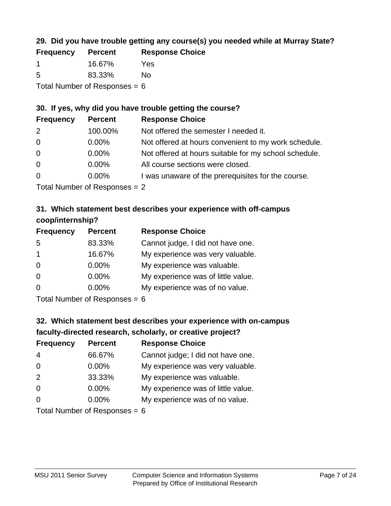# **29. Did you have trouble getting any course(s) you needed while at Murray State?**

| <b>Frequency</b>                | <b>Percent</b> | <b>Response Choice</b> |
|---------------------------------|----------------|------------------------|
|                                 | 16.67%         | Yes                    |
| -5                              | 83.33%         | No.                    |
| Total Number of Responses = $6$ |                |                        |

# **30. If yes, why did you have trouble getting the course?**

| <b>Frequency</b> | <b>Percent</b> | <b>Response Choice</b>                                |
|------------------|----------------|-------------------------------------------------------|
| 2                | 100.00%        | Not offered the semester I needed it.                 |
| $\overline{0}$   | $0.00\%$       | Not offered at hours convenient to my work schedule.  |
| $\overline{0}$   | $0.00\%$       | Not offered at hours suitable for my school schedule. |
| $\overline{0}$   | $0.00\%$       | All course sections were closed.                      |
| $\overline{0}$   | 0.00%          | I was unaware of the prerequisites for the course.    |
|                  |                |                                                       |

Total Number of Responses = 2

### **31. Which statement best describes your experience with off-campus coop/internship?**

| <b>Frequency</b> | <b>Percent</b>                                                     | <b>Response Choice</b>             |
|------------------|--------------------------------------------------------------------|------------------------------------|
| 5                | 83.33%                                                             | Cannot judge, I did not have one.  |
| $\mathbf 1$      | 16.67%                                                             | My experience was very valuable.   |
| $\Omega$         | $0.00\%$                                                           | My experience was valuable.        |
| $\Omega$         | 0.00%                                                              | My experience was of little value. |
| $\Omega$         | $0.00\%$                                                           | My experience was of no value.     |
|                  | $T$ at all Message and $R$ $\sim$ and $\sim$ and $\sim$ and $\sim$ |                                    |

Total Number of Responses = 6

# **32. Which statement best describes your experience with on-campus faculty-directed research, scholarly, or creative project?**

| <b>Frequency</b> | <b>Percent</b>              | <b>Response Choice</b>             |
|------------------|-----------------------------|------------------------------------|
| 4                | 66.67%                      | Cannot judge; I did not have one.  |
| $\overline{0}$   | $0.00\%$                    | My experience was very valuable.   |
| 2                | 33.33%                      | My experience was valuable.        |
| $\Omega$         | 0.00%                       | My experience was of little value. |
| $\Omega$         | 0.00%                       | My experience was of no value.     |
|                  | Total Number of Despanses C |                                    |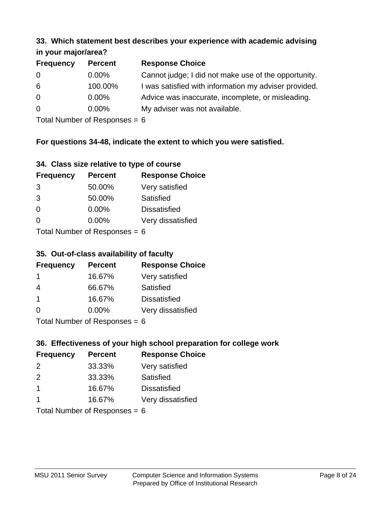#### **33. Which statement best describes your experience with academic advising in your major/area?**

| $\mathbf{u}$ yvu $\mathbf{u}$ yvu $\mathbf{v}$ |                |                                                       |
|------------------------------------------------|----------------|-------------------------------------------------------|
| <b>Frequency</b>                               | <b>Percent</b> | <b>Response Choice</b>                                |
| 0                                              | $0.00\%$       | Cannot judge; I did not make use of the opportunity.  |
| 6                                              | 100.00%        | I was satisfied with information my adviser provided. |
| $\overline{0}$                                 | 0.00%          | Advice was inaccurate, incomplete, or misleading.     |
| $\overline{0}$                                 | $0.00\%$       | My adviser was not available.                         |
|                                                |                |                                                       |

Total Number of Responses = 6

# **For questions 34-48, indicate the extent to which you were satisfied.**

| 34. Class size relative to type of course |
|-------------------------------------------|
|-------------------------------------------|

| <b>Frequency</b>              | <b>Percent</b> | <b>Response Choice</b> |  |
|-------------------------------|----------------|------------------------|--|
| 3                             | 50.00%         | Very satisfied         |  |
| 3                             | 50.00%         | Satisfied              |  |
| $\Omega$                      | $0.00\%$       | <b>Dissatisfied</b>    |  |
| $\Omega$                      | $0.00\%$       | Very dissatisfied      |  |
| $Total Number of Denance = 6$ |                |                        |  |

Total Number of Responses  $= 6$ 

### **35. Out-of-class availability of faculty**

| <b>Frequency</b> | <b>Percent</b> | <b>Response Choice</b> |
|------------------|----------------|------------------------|
|                  | 16.67%         | Very satisfied         |
| 4                | 66.67%         | Satisfied              |
| $\overline{1}$   | 16.67%         | <b>Dissatisfied</b>    |
| $\Omega$         | 0.00%          | Very dissatisfied      |
|                  |                |                        |

Total Number of Responses = 6

# **36. Effectiveness of your high school preparation for college work**

| <b>Frequency</b>              | <b>Percent</b> | <b>Response Choice</b> |  |
|-------------------------------|----------------|------------------------|--|
| $\mathcal{P}$                 | 33.33%         | Very satisfied         |  |
| $\mathcal{P}$                 | 33.33%         | Satisfied              |  |
| $\mathbf 1$                   | 16.67%         | <b>Dissatisfied</b>    |  |
|                               | 16.67%         | Very dissatisfied      |  |
| $Total Number of Denonce - 6$ |                |                        |  |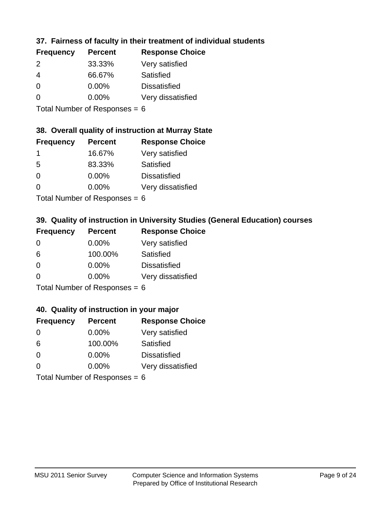# **37. Fairness of faculty in their treatment of individual students**

| <b>Frequency</b> | <b>Percent</b> | <b>Response Choice</b> |
|------------------|----------------|------------------------|
| 2                | 33.33%         | Very satisfied         |
| 4                | 66.67%         | Satisfied              |
| $\Omega$         | $0.00\%$       | <b>Dissatisfied</b>    |
| $\Omega$         | $0.00\%$       | Very dissatisfied      |
|                  |                |                        |

Total Number of Responses = 6

#### **38. Overall quality of instruction at Murray State**

| <b>Frequency</b> | <b>Percent</b> | <b>Response Choice</b> |
|------------------|----------------|------------------------|
|                  | 16.67%         | Very satisfied         |
| .5               | 83.33%         | Satisfied              |
| $\Omega$         | 0.00%          | <b>Dissatisfied</b>    |
| ∩                | 0.00%          | Very dissatisfied      |
|                  |                |                        |

Total Number of Responses  $= 6$ 

# **39. Quality of instruction in University Studies (General Education) courses**

| <b>Frequency</b> | <b>Percent</b>            | <b>Response Choice</b> |
|------------------|---------------------------|------------------------|
| $\Omega$         | $0.00\%$                  | Very satisfied         |
| 6                | 100.00%                   | Satisfied              |
| $\Omega$         | 0.00%                     | <b>Dissatisfied</b>    |
| $\Omega$         | 0.00%                     | Very dissatisfied      |
|                  | Total Number of Desponses |                        |

Total Number of Responses = 6

#### **40. Quality of instruction in your major**

| <b>Frequency</b>                | <b>Percent</b> | <b>Response Choice</b> |
|---------------------------------|----------------|------------------------|
| $\Omega$                        | $0.00\%$       | Very satisfied         |
| 6                               | 100.00%        | Satisfied              |
| $\Omega$                        | $0.00\%$       | <b>Dissatisfied</b>    |
| $\Omega$                        | $0.00\%$       | Very dissatisfied      |
| Total Number of Responses = $6$ |                |                        |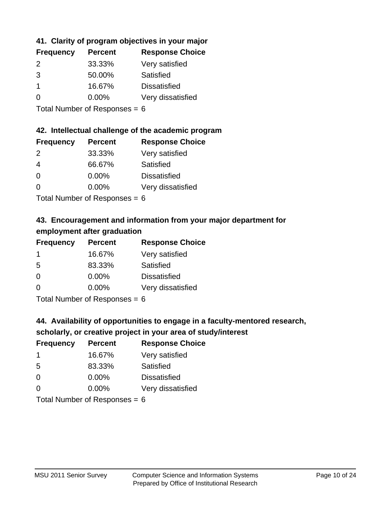# **41. Clarity of program objectives in your major**

| <b>Frequency</b> | <b>Percent</b> | <b>Response Choice</b> |
|------------------|----------------|------------------------|
| $\mathcal{P}$    | 33.33%         | Very satisfied         |
| 3                | 50.00%         | Satisfied              |
|                  | 16.67%         | <b>Dissatisfied</b>    |
| $\Omega$         | $0.00\%$       | Very dissatisfied      |
|                  |                |                        |

Total Number of Responses = 6

### **42. Intellectual challenge of the academic program**

| <b>Frequency</b> | <b>Percent</b> | <b>Response Choice</b> |
|------------------|----------------|------------------------|
| $\mathcal{P}$    | 33.33%         | Very satisfied         |
| 4                | 66.67%         | Satisfied              |
| ∩                | 0.00%          | <b>Dissatisfied</b>    |
| ∩                | 0.00%          | Very dissatisfied      |
|                  |                |                        |

Total Number of Responses = 6

# **43. Encouragement and information from your major department for employment after graduation**

| <b>Frequency</b> | <b>Percent</b> | <b>Response Choice</b> |
|------------------|----------------|------------------------|
| -1               | 16.67%         | Very satisfied         |
| 5                | 83.33%         | Satisfied              |
| 0                | $0.00\%$       | <b>Dissatisfied</b>    |
| $\Omega$         | 0.00%          | Very dissatisfied      |
|                  |                |                        |

Total Number of Responses = 6

# **44. Availability of opportunities to engage in a faculty-mentored research,**

# **scholarly, or creative project in your area of study/interest**

| <b>Frequency</b> | <b>Percent</b> | <b>Response Choice</b> |
|------------------|----------------|------------------------|
|                  | 16.67%         | Very satisfied         |
| 5                | 83.33%         | Satisfied              |
| $\Omega$         | $0.00\%$       | <b>Dissatisfied</b>    |
| $\Omega$         | 0.00%          | Very dissatisfied      |
|                  |                |                        |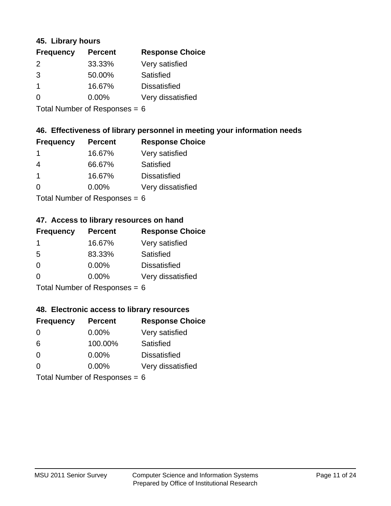### **45. Library hours**

| <b>Frequency</b> | <b>Percent</b> | <b>Response Choice</b> |
|------------------|----------------|------------------------|
| $\mathcal{P}$    | 33.33%         | Very satisfied         |
| 3                | 50.00%         | Satisfied              |
|                  | 16.67%         | <b>Dissatisfied</b>    |
| $\Omega$         | $0.00\%$       | Very dissatisfied      |
|                  |                |                        |

Total Number of Responses = 6

### **46. Effectiveness of library personnel in meeting your information needs**

| <b>Frequency</b> | <b>Percent</b> | <b>Response Choice</b> |
|------------------|----------------|------------------------|
|                  | 16.67%         | Very satisfied         |
| 4                | 66.67%         | Satisfied              |
|                  | 16.67%         | <b>Dissatisfied</b>    |
| $\mathcal{L}$    | $0.00\%$       | Very dissatisfied      |
|                  |                |                        |

Total Number of Responses = 6

### **47. Access to library resources on hand**

| <b>Frequency</b> | <b>Percent</b>             | <b>Response Choice</b> |
|------------------|----------------------------|------------------------|
| -1               | 16.67%                     | Very satisfied         |
| 5                | 83.33%                     | Satisfied              |
| $\Omega$         | $0.00\%$                   | <b>Dissatisfied</b>    |
| ∩                | 0.00%                      | Very dissatisfied      |
|                  | Total Number of Deepersoon |                        |

Total Number of Responses = 6

### **48. Electronic access to library resources**

| <b>Frequency</b>                | <b>Percent</b> | <b>Response Choice</b> |
|---------------------------------|----------------|------------------------|
| $\Omega$                        | $0.00\%$       | Very satisfied         |
| 6                               | 100.00%        | Satisfied              |
| $\Omega$                        | $0.00\%$       | <b>Dissatisfied</b>    |
| $\Omega$                        | $0.00\%$       | Very dissatisfied      |
| Total Number of Responses = $6$ |                |                        |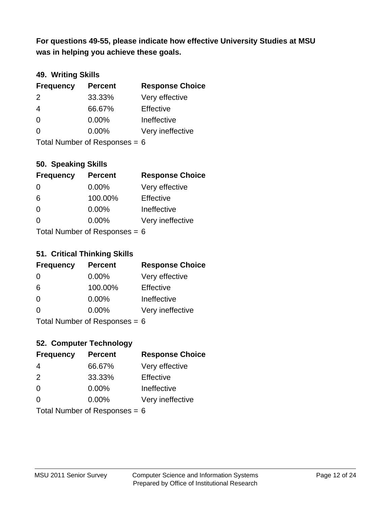**was in helping you achieve these goals. For questions 49-55, please indicate how effective University Studies at MSU** 

# **49. Writing Skills**

| <b>Frequency</b>                | <b>Percent</b> | <b>Response Choice</b> |
|---------------------------------|----------------|------------------------|
| $\mathcal{P}$                   | 33.33%         | Very effective         |
| 4                               | 66.67%         | Effective              |
| $\Omega$                        | $0.00\%$       | Ineffective            |
| $\Omega$                        | $0.00\%$       | Very ineffective       |
| Total Number of Responses = $6$ |                |                        |

# **50. Speaking Skills**

| <b>Frequency</b>                | <b>Percent</b> | <b>Response Choice</b> |
|---------------------------------|----------------|------------------------|
| $\Omega$                        | $0.00\%$       | Very effective         |
| 6                               | 100.00%        | Effective              |
| $\Omega$                        | $0.00\%$       | Ineffective            |
| $\Omega$                        | $0.00\%$       | Very ineffective       |
| Total Number of Responses = $6$ |                |                        |

#### **51. Critical Thinking Skills**

| <b>Frequency</b>           | <b>Percent</b> | <b>Response Choice</b> |
|----------------------------|----------------|------------------------|
| $\Omega$                   | $0.00\%$       | Very effective         |
| 6                          | 100.00%        | Effective              |
| $\Omega$                   | 0.00%          | Ineffective            |
| $\Omega$                   | 0.00%          | Very ineffective       |
| Total Number of Denonone – |                |                        |

Total Number of Responses = 6

# **52. Computer Technology**

| <b>Frequency</b>                | <b>Percent</b> | <b>Response Choice</b> |
|---------------------------------|----------------|------------------------|
| 4                               | 66.67%         | Very effective         |
| 2                               | 33.33%         | Effective              |
| $\Omega$                        | 0.00%          | Ineffective            |
| $\Omega$                        | $0.00\%$       | Very ineffective       |
| Total Number of Responses = $6$ |                |                        |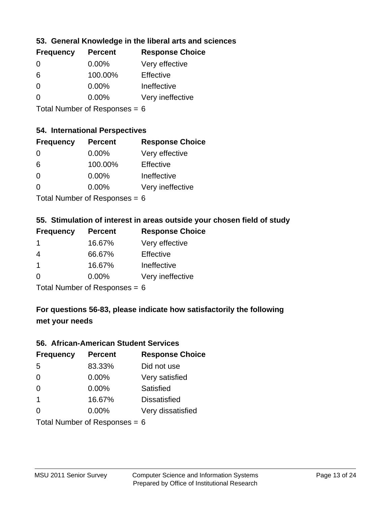### **53. General Knowledge in the liberal arts and sciences**

| <b>Frequency</b> | <b>Percent</b> | <b>Response Choice</b> |
|------------------|----------------|------------------------|
| $\Omega$         | $0.00\%$       | Very effective         |
| 6                | 100.00%        | Effective              |
| 0                | $0.00\%$       | Ineffective            |
| ∩                | $0.00\%$       | Very ineffective       |
|                  |                |                        |

Total Number of Responses = 6

### **54. International Perspectives**

| <b>Frequency</b> | <b>Percent</b> | <b>Response Choice</b> |
|------------------|----------------|------------------------|
| $\Omega$         | $0.00\%$       | Very effective         |
| 6                | 100.00%        | Effective              |
| 0                | 0.00%          | Ineffective            |
| O                | 0.00%          | Very ineffective       |
| _                |                |                        |

Total Number of Responses  $= 6$ 

# **55. Stimulation of interest in areas outside your chosen field of study**

| <b>Frequency</b> | <b>Percent</b>            | <b>Response Choice</b> |
|------------------|---------------------------|------------------------|
|                  | 16.67%                    | Very effective         |
| 4                | 66.67%                    | Effective              |
| -1               | 16.67%                    | Ineffective            |
| $\Omega$         | 0.00%                     | Very ineffective       |
|                  | Total Number of Deepensee |                        |

Total Number of Responses = 6

# **For questions 56-83, please indicate how satisfactorily the following met your needs**

### **56. African-American Student Services**

| <b>Frequency</b>                | <b>Percent</b> | <b>Response Choice</b> |
|---------------------------------|----------------|------------------------|
| 5                               | 83.33%         | Did not use            |
| $\Omega$                        | 0.00%          | Very satisfied         |
| $\Omega$                        | 0.00%          | Satisfied              |
| $\overline{\mathbf{1}}$         | 16.67%         | <b>Dissatisfied</b>    |
| $\Omega$                        | 0.00%          | Very dissatisfied      |
| Total Number of Responses = $6$ |                |                        |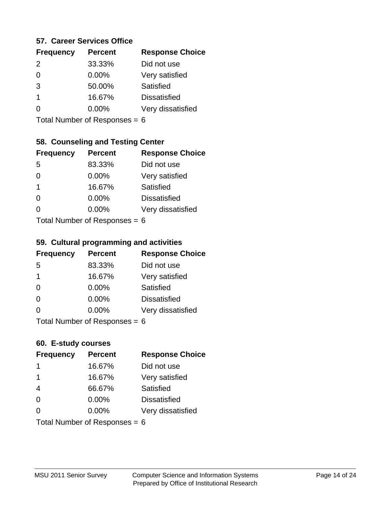### **57. Career Services Office**

| <b>Frequency</b> | <b>Percent</b> | <b>Response Choice</b> |
|------------------|----------------|------------------------|
| $\mathcal{P}$    | 33.33%         | Did not use            |
| 0                | 0.00%          | Very satisfied         |
| 3                | 50.00%         | <b>Satisfied</b>       |
| 1                | 16.67%         | <b>Dissatisfied</b>    |
|                  | $0.00\%$       | Very dissatisfied      |
|                  |                |                        |

Total Number of Responses = 6

### **58. Counseling and Testing Center**

| <b>Frequency</b>          | <b>Percent</b> | <b>Response Choice</b> |
|---------------------------|----------------|------------------------|
| -5                        | 83.33%         | Did not use            |
| 0                         | 0.00%          | Very satisfied         |
| 1                         | 16.67%         | <b>Satisfied</b>       |
| 0                         | 0.00%          | <b>Dissatisfied</b>    |
|                           | 0.00%          | Very dissatisfied      |
| Total Number of Desponses |                |                        |

Total Number of Responses = 6

#### **59. Cultural programming and activities**

| <b>Frequency</b>                | <b>Percent</b> | <b>Response Choice</b> |
|---------------------------------|----------------|------------------------|
| -5                              | 83.33%         | Did not use            |
| 1                               | 16.67%         | Very satisfied         |
| $\Omega$                        | $0.00\%$       | <b>Satisfied</b>       |
| $\Omega$                        | 0.00%          | <b>Dissatisfied</b>    |
| $\Omega$                        | $0.00\%$       | Very dissatisfied      |
| $Total$ Number of Despanses $-$ |                |                        |

Total Number of Responses = 6

### **60. E-study courses**

| <b>Frequency</b> | <b>Percent</b>                  | <b>Response Choice</b> |
|------------------|---------------------------------|------------------------|
| -1               | 16.67%                          | Did not use            |
| 1                | 16.67%                          | Very satisfied         |
| $\overline{4}$   | 66.67%                          | Satisfied              |
| $\Omega$         | $0.00\%$                        | <b>Dissatisfied</b>    |
| $\Omega$         | $0.00\%$                        | Very dissatisfied      |
|                  | Total Number of Responses = $6$ |                        |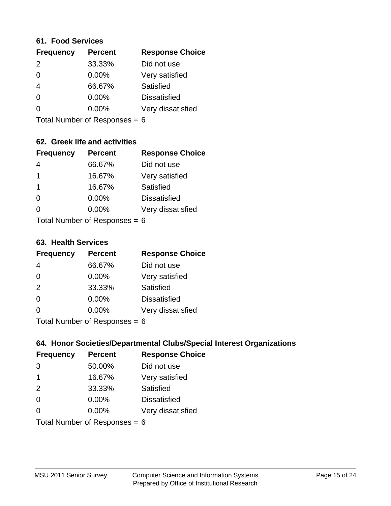#### **61. Food Services**

| <b>Frequency</b> | <b>Percent</b> | <b>Response Choice</b> |
|------------------|----------------|------------------------|
| 2                | 33.33%         | Did not use            |
| $\Omega$         | $0.00\%$       | Very satisfied         |
| 4                | 66.67%         | Satisfied              |
| $\Omega$         | $0.00\%$       | <b>Dissatisfied</b>    |
| ∩                | $0.00\%$       | Very dissatisfied      |
|                  |                |                        |

Total Number of Responses = 6

# **62. Greek life and activities**

| <b>Frequency</b>                | <b>Percent</b> | <b>Response Choice</b> |
|---------------------------------|----------------|------------------------|
| 4                               | 66.67%         | Did not use            |
| 1                               | 16.67%         | Very satisfied         |
| 1                               | 16.67%         | Satisfied              |
| $\Omega$                        | 0.00%          | <b>Dissatisfied</b>    |
|                                 | $0.00\%$       | Very dissatisfied      |
| Total Number of Responses = $6$ |                |                        |

**63. Health Services**

| <b>Frequency</b> | <b>Percent</b>            | <b>Response Choice</b> |
|------------------|---------------------------|------------------------|
| $\overline{4}$   | 66.67%                    | Did not use            |
| 0                | $0.00\%$                  | Very satisfied         |
| 2                | 33.33%                    | <b>Satisfied</b>       |
| 0                | 0.00%                     | <b>Dissatisfied</b>    |
| $\Omega$         | 0.00%                     | Very dissatisfied      |
|                  | Total Number of Desponses |                        |

Total Number of Responses = 6

### **64. Honor Societies/Departmental Clubs/Special Interest Organizations**

| <b>Frequency</b> | <b>Percent</b>                  | <b>Response Choice</b> |
|------------------|---------------------------------|------------------------|
| 3                | 50.00%                          | Did not use            |
| $\mathbf 1$      | 16.67%                          | Very satisfied         |
| 2                | 33.33%                          | Satisfied              |
| $\Omega$         | 0.00%                           | <b>Dissatisfied</b>    |
| $\Omega$         | 0.00%                           | Very dissatisfied      |
|                  | Total Number of Responses = $6$ |                        |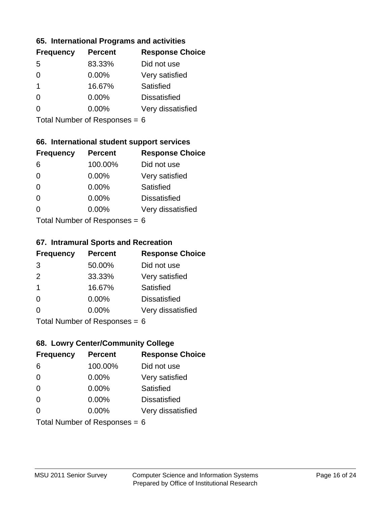### **65. International Programs and activities**

| <b>Frequency</b> | <b>Percent</b> | <b>Response Choice</b> |
|------------------|----------------|------------------------|
| .5               | 83.33%         | Did not use            |
| 0                | 0.00%          | Very satisfied         |
| 1                | 16.67%         | Satisfied              |
|                  | $0.00\%$       | <b>Dissatisfied</b>    |
|                  | $0.00\%$       | Very dissatisfied      |
|                  |                |                        |

Total Number of Responses = 6

### **66. International student support services**

| <b>Frequency</b> | <b>Percent</b>            | <b>Response Choice</b> |
|------------------|---------------------------|------------------------|
| 6                | 100.00%                   | Did not use            |
| 0                | 0.00%                     | Very satisfied         |
| $\Omega$         | 0.00%                     | Satisfied              |
| $\Omega$         | 0.00%                     | <b>Dissatisfied</b>    |
| 0                | 0.00%                     | Very dissatisfied      |
|                  | Total Number of Desponses |                        |

Total Number of Responses = 6

#### **67. Intramural Sports and Recreation**

| <b>Frequency</b> | <b>Percent</b>                  | <b>Response Choice</b> |
|------------------|---------------------------------|------------------------|
| 3                | 50.00%                          | Did not use            |
| 2                | 33.33%                          | Very satisfied         |
| $\mathbf 1$      | 16.67%                          | Satisfied              |
| $\Omega$         | $0.00\%$                        | <b>Dissatisfied</b>    |
| ∩                | $0.00\%$                        | Very dissatisfied      |
|                  | $Total$ Number of Despasses $-$ |                        |

Total Number of Responses = 6

# **68. Lowry Center/Community College**

| <b>Frequency</b> | <b>Percent</b>                  | <b>Response Choice</b> |
|------------------|---------------------------------|------------------------|
| 6                | 100.00%                         | Did not use            |
| $\Omega$         | 0.00%                           | Very satisfied         |
| $\Omega$         | 0.00%                           | Satisfied              |
| $\Omega$         | 0.00%                           | <b>Dissatisfied</b>    |
| 0                | $0.00\%$                        | Very dissatisfied      |
|                  | Total Number of Responses = $6$ |                        |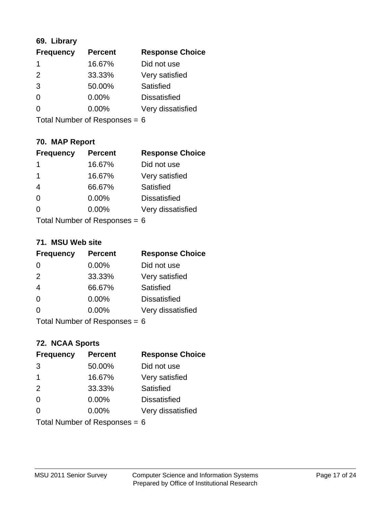# **69. Library**

| <b>Frequency</b> | <b>Percent</b> | <b>Response Choice</b> |
|------------------|----------------|------------------------|
|                  | 16.67%         | Did not use            |
| $\mathcal{P}$    | 33.33%         | Very satisfied         |
| 3                | 50.00%         | Satisfied              |
| $\Omega$         | $0.00\%$       | <b>Dissatisfied</b>    |
| O                | $0.00\%$       | Very dissatisfied      |
|                  |                |                        |

Total Number of Responses = 6

# **70. MAP Report**

| <b>Frequency</b>                | <b>Percent</b> | <b>Response Choice</b> |
|---------------------------------|----------------|------------------------|
| 1                               | 16.67%         | Did not use            |
| 1                               | 16.67%         | Very satisfied         |
| $\overline{4}$                  | 66.67%         | Satisfied              |
| $\Omega$                        | 0.00%          | <b>Dissatisfied</b>    |
| 0                               | 0.00%          | Very dissatisfied      |
| Total Number of Responses = $6$ |                |                        |

#### **71. MSU Web site**

| <b>Frequency</b>                | <b>Percent</b> | <b>Response Choice</b> |
|---------------------------------|----------------|------------------------|
| $\Omega$                        | 0.00%          | Did not use            |
| 2                               | 33.33%         | Very satisfied         |
| $\overline{4}$                  | 66.67%         | Satisfied              |
| $\Omega$                        | 0.00%          | <b>Dissatisfied</b>    |
| $\Omega$                        | 0.00%          | Very dissatisfied      |
| Total Number of Responses = $6$ |                |                        |

# **72. NCAA Sports**

| <b>Frequency</b> | <b>Percent</b>                  | <b>Response Choice</b> |
|------------------|---------------------------------|------------------------|
| 3                | 50.00%                          | Did not use            |
| -1               | 16.67%                          | Very satisfied         |
| 2                | 33.33%                          | Satisfied              |
| $\Omega$         | 0.00%                           | <b>Dissatisfied</b>    |
| ∩                | $0.00\%$                        | Very dissatisfied      |
|                  | Total Number of Responses = $6$ |                        |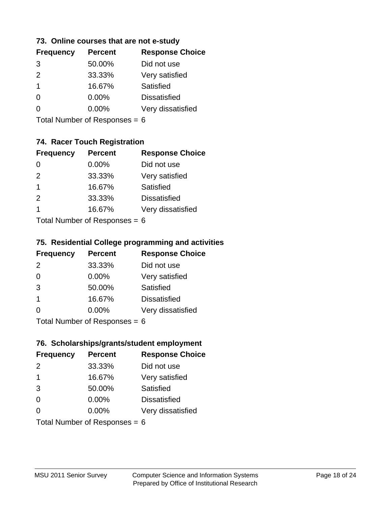### **73. Online courses that are not e-study**

| <b>Frequency</b> | <b>Percent</b> | <b>Response Choice</b> |
|------------------|----------------|------------------------|
| 3                | 50.00%         | Did not use            |
| $\mathcal{P}$    | 33.33%         | Very satisfied         |
| 1                | 16.67%         | Satisfied              |
|                  | 0.00%          | <b>Dissatisfied</b>    |
|                  | $0.00\%$       | Very dissatisfied      |
|                  |                |                        |

Total Number of Responses = 6

# **74. Racer Touch Registration**

| <b>Frequency</b>           | <b>Percent</b> | <b>Response Choice</b> |
|----------------------------|----------------|------------------------|
| 0                          | 0.00%          | Did not use            |
| 2                          | 33.33%         | Very satisfied         |
| 1                          | 16.67%         | <b>Satisfied</b>       |
| 2                          | 33.33%         | <b>Dissatisfied</b>    |
| 1                          | 16.67%         | Very dissatisfied      |
| Tatal Number of Desperance |                |                        |

Total Number of Responses = 6

### **75. Residential College programming and activities**

| <b>Frequency</b>            | <b>Percent</b> | <b>Response Choice</b> |
|-----------------------------|----------------|------------------------|
| 2                           | 33.33%         | Did not use            |
| $\Omega$                    | 0.00%          | Very satisfied         |
| 3                           | 50.00%         | Satisfied              |
| -1                          | 16.67%         | <b>Dissatisfied</b>    |
| $\Omega$                    | 0.00%          | Very dissatisfied      |
| Total Number of Desponses C |                |                        |

Total Number of Responses = 6

### **76. Scholarships/grants/student employment**

| <b>Frequency</b>                | <b>Percent</b> | <b>Response Choice</b> |
|---------------------------------|----------------|------------------------|
| 2                               | 33.33%         | Did not use            |
| $\mathbf 1$                     | 16.67%         | Very satisfied         |
| 3                               | 50.00%         | Satisfied              |
| $\Omega$                        | 0.00%          | <b>Dissatisfied</b>    |
| $\Omega$                        | 0.00%          | Very dissatisfied      |
| Total Number of Responses = $6$ |                |                        |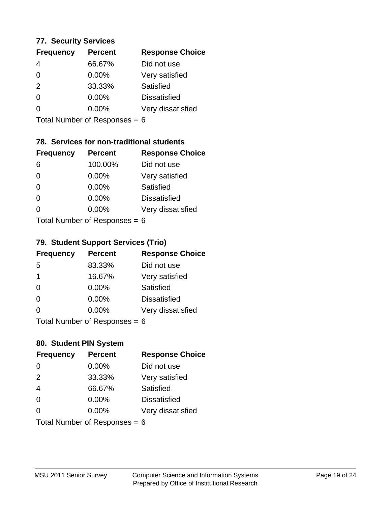### **77. Security Services**

| <b>Frequency</b> | <b>Percent</b> | <b>Response Choice</b> |
|------------------|----------------|------------------------|
| 4                | 66.67%         | Did not use            |
| $\Omega$         | $0.00\%$       | Very satisfied         |
| 2                | 33.33%         | Satisfied              |
| $\Omega$         | $0.00\%$       | <b>Dissatisfied</b>    |
|                  | $0.00\%$       | Very dissatisfied      |
|                  |                |                        |

Total Number of Responses = 6

# **78. Services for non-traditional students**

| <b>Frequency</b>          | <b>Percent</b> | <b>Response Choice</b> |
|---------------------------|----------------|------------------------|
| 6                         | 100.00%        | Did not use            |
| $\Omega$                  | 0.00%          | Very satisfied         |
| $\Omega$                  | 0.00%          | Satisfied              |
| $\Omega$                  | 0.00%          | <b>Dissatisfied</b>    |
| 0                         | $0.00\%$       | Very dissatisfied      |
| Total Number of Desponses |                |                        |

Total Number of Responses = 6

#### **79. Student Support Services (Trio)**

| <b>Frequency</b>          | <b>Percent</b> | <b>Response Choice</b> |
|---------------------------|----------------|------------------------|
| -5                        | 83.33%         | Did not use            |
| -1                        | 16.67%         | Very satisfied         |
| $\Omega$                  | $0.00\%$       | Satisfied              |
| $\Omega$                  | $0.00\%$       | <b>Dissatisfied</b>    |
| $\Omega$                  | 0.00%          | Very dissatisfied      |
| Total Number of Desponses |                |                        |

Total Number of Responses = 6

### **80. Student PIN System**

| <b>Frequency</b>                | <b>Percent</b> | <b>Response Choice</b> |
|---------------------------------|----------------|------------------------|
| $\Omega$                        | 0.00%          | Did not use            |
| 2                               | 33.33%         | Very satisfied         |
| $\overline{4}$                  | 66.67%         | Satisfied              |
| $\Omega$                        | $0.00\%$       | <b>Dissatisfied</b>    |
| 0                               | 0.00%          | Very dissatisfied      |
| Total Number of Responses = $6$ |                |                        |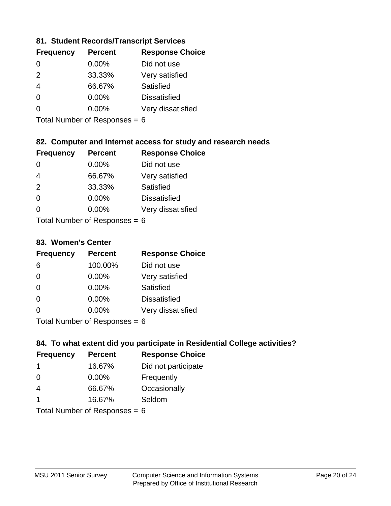### **81. Student Records/Transcript Services**

| <b>Percent</b> | <b>Response Choice</b> |
|----------------|------------------------|
| 0.00%          | Did not use            |
| 33.33%         | Very satisfied         |
| 66.67%         | Satisfied              |
| 0.00%          | <b>Dissatisfied</b>    |
| $0.00\%$       | Very dissatisfied      |
|                |                        |

Total Number of Responses = 6

# **82. Computer and Internet access for study and research needs**

| <b>Frequency</b> | <b>Percent</b>             | <b>Response Choice</b> |
|------------------|----------------------------|------------------------|
| 0                | 0.00%                      | Did not use            |
| 4                | 66.67%                     | Very satisfied         |
| 2                | 33.33%                     | Satisfied              |
| $\Omega$         | 0.00%                      | <b>Dissatisfied</b>    |
| ∩                | 0.00%                      | Very dissatisfied      |
|                  | Tatal Manada and Dannanana |                        |

Total Number of Responses = 6

### **83. Women's Center**

| <b>Frequency</b>          | <b>Percent</b> | <b>Response Choice</b> |
|---------------------------|----------------|------------------------|
| 6                         | 100.00%        | Did not use            |
| $\Omega$                  | $0.00\%$       | Very satisfied         |
| $\Omega$                  | $0.00\%$       | Satisfied              |
| $\Omega$                  | $0.00\%$       | <b>Dissatisfied</b>    |
| ∩                         | $0.00\%$       | Very dissatisfied      |
| Total Number of Despenses |                |                        |

Total Number of Responses = 6

# **84. To what extent did you participate in Residential College activities?**

| <b>Frequency</b> | <b>Percent</b>             | <b>Response Choice</b> |
|------------------|----------------------------|------------------------|
|                  | 16.67%                     | Did not participate    |
| $\Omega$         | $0.00\%$                   | Frequently             |
| 4                | 66.67%                     | Occasionally           |
|                  | 16.67%                     | Seldom                 |
|                  | Total Number of Denonone – |                        |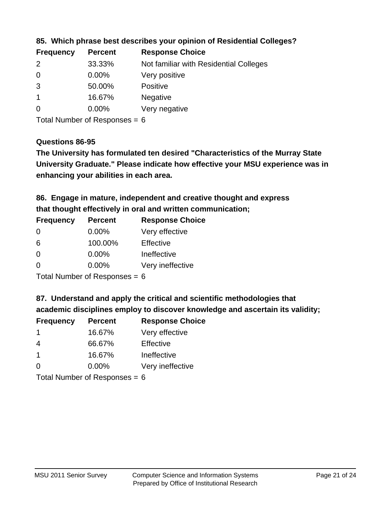| <b>Frequency</b> | <b>Percent</b> | <b>Response Choice</b>                 |
|------------------|----------------|----------------------------------------|
| $\mathcal{P}$    | 33.33%         | Not familiar with Residential Colleges |
| $\overline{0}$   | 0.00%          | Very positive                          |
| 3                | 50.00%         | <b>Positive</b>                        |
|                  | 16.67%         | <b>Negative</b>                        |
| $\overline{0}$   | $0.00\%$       | Very negative                          |

### **85. Which phrase best describes your opinion of Residential Colleges?**

Total Number of Responses = 6

#### **Questions 86-95**

**University Graduate." Please indicate how effective your MSU experience was in The University has formulated ten desired "Characteristics of the Murray State enhancing your abilities in each area.**

**86. Engage in mature, independent and creative thought and express that thought effectively in oral and written communication;**

| <b>Frequency</b> | <b>Percent</b> | <b>Response Choice</b> |
|------------------|----------------|------------------------|
| $\Omega$         | $0.00\%$       | Very effective         |
| 6                | 100.00%        | Effective              |
| 0                | $0.00\%$       | Ineffective            |
| O                | $0.00\%$       | Very ineffective       |

Total Number of Responses = 6

**87. Understand and apply the critical and scientific methodologies that** 

**academic disciplines employ to discover knowledge and ascertain its validity;**

| <b>Frequency</b> | <b>Percent</b> | <b>Response Choice</b> |
|------------------|----------------|------------------------|
| -1               | 16.67%         | Very effective         |
| 4                | 66.67%         | Effective              |
| $\mathbf 1$      | 16.67%         | Ineffective            |
| $\Omega$         | 0.00%          | Very ineffective       |
|                  |                |                        |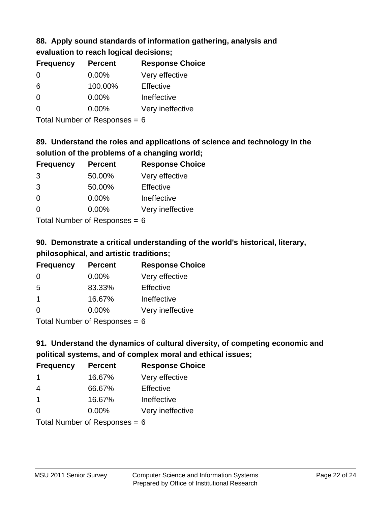# **88. Apply sound standards of information gathering, analysis and**

| evaluation to reach logical decisions; |  |
|----------------------------------------|--|
|----------------------------------------|--|

| <b>Percent</b> | <b>Response Choice</b> |
|----------------|------------------------|
| $0.00\%$       | Very effective         |
| 100.00%        | Effective              |
| $0.00\%$       | Ineffective            |
| $0.00\%$       | Very ineffective       |
|                |                        |

Total Number of Responses = 6

# **89. Understand the roles and applications of science and technology in the solution of the problems of a changing world;**

| <b>Frequency</b> | <b>Percent</b> | <b>Response Choice</b> |
|------------------|----------------|------------------------|
| 3                | 50.00%         | Very effective         |
| 3                | 50.00%         | Effective              |
| $\Omega$         | 0.00%          | Ineffective            |
| ∩                | 0.00%          | Very ineffective       |
|                  |                |                        |

Total Number of Responses = 6

# **90. Demonstrate a critical understanding of the world's historical, literary, philosophical, and artistic traditions;**

| <b>Frequency</b> | <b>Percent</b> | <b>Response Choice</b> |
|------------------|----------------|------------------------|
| 0                | 0.00%          | Very effective         |
| 5                | 83.33%         | Effective              |
| -1               | 16.67%         | Ineffective            |
| ∩                | 0.00%          | Very ineffective       |
|                  |                |                        |

Total Number of Responses = 6

# **91. Understand the dynamics of cultural diversity, of competing economic and political systems, and of complex moral and ethical issues;**

| <b>Frequency</b>        | <b>Percent</b>                  | <b>Response Choice</b> |
|-------------------------|---------------------------------|------------------------|
| -1                      | 16.67%                          | Very effective         |
| 4                       | 66.67%                          | Effective              |
| $\overline{\mathbf{1}}$ | 16.67%                          | Ineffective            |
| $\Omega$                | $0.00\%$                        | Very ineffective       |
|                         | Total Number of Responses = $6$ |                        |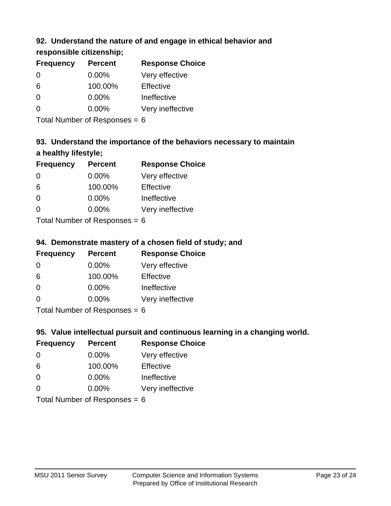# **92. Understand the nature of and engage in ethical behavior and**

# **responsible citizenship;**

| <b>Frequency</b> | <b>Percent</b> | <b>Response Choice</b> |
|------------------|----------------|------------------------|
| 0                | $0.00\%$       | Very effective         |
| 6                | 100.00%        | Effective              |
| O                | $0.00\%$       | Ineffective            |
| O                | $0.00\%$       | Very ineffective       |
|                  |                |                        |

Total Number of Responses = 6

# **93. Understand the importance of the behaviors necessary to maintain a healthy lifestyle;**

| <b>Frequency</b> | <b>Percent</b>                                                                                                                                                                                                                 | <b>Response Choice</b> |
|------------------|--------------------------------------------------------------------------------------------------------------------------------------------------------------------------------------------------------------------------------|------------------------|
| $\Omega$         | $0.00\%$                                                                                                                                                                                                                       | Very effective         |
| 6                | 100.00%                                                                                                                                                                                                                        | Effective              |
| $\Omega$         | $0.00\%$                                                                                                                                                                                                                       | Ineffective            |
| $\Omega$         | 0.00%                                                                                                                                                                                                                          | Very ineffective       |
|                  | The INDIAN Contract Contract in the Contract of The Contract of The Contract of The Contract of The Contract of The Contract of The Contract of The Contract of The Contract of The Contract of The Contract of The Contract o |                        |

Total Number of Responses = 6

# **94. Demonstrate mastery of a chosen field of study; and**

| <b>Frequency</b> | <b>Percent</b> | <b>Response Choice</b> |
|------------------|----------------|------------------------|
| 0                | 0.00%          | Very effective         |
| 6                | 100.00%        | Effective              |
| $\Omega$         | 0.00%          | Ineffective            |
| $\Omega$         | 0.00%          | Very ineffective       |
|                  |                |                        |

Total Number of Responses = 6

# **95. Value intellectual pursuit and continuous learning in a changing world.**

| <b>Frequency</b> | <b>Percent</b>              | <b>Response Choice</b> |
|------------------|-----------------------------|------------------------|
| $\Omega$         | 0.00%                       | Very effective         |
| 6                | 100.00%                     | Effective              |
| $\Omega$         | 0.00%                       | Ineffective            |
| ∩                | 0.00%                       | Very ineffective       |
|                  | Tatal Massakan af Dagmannar |                        |